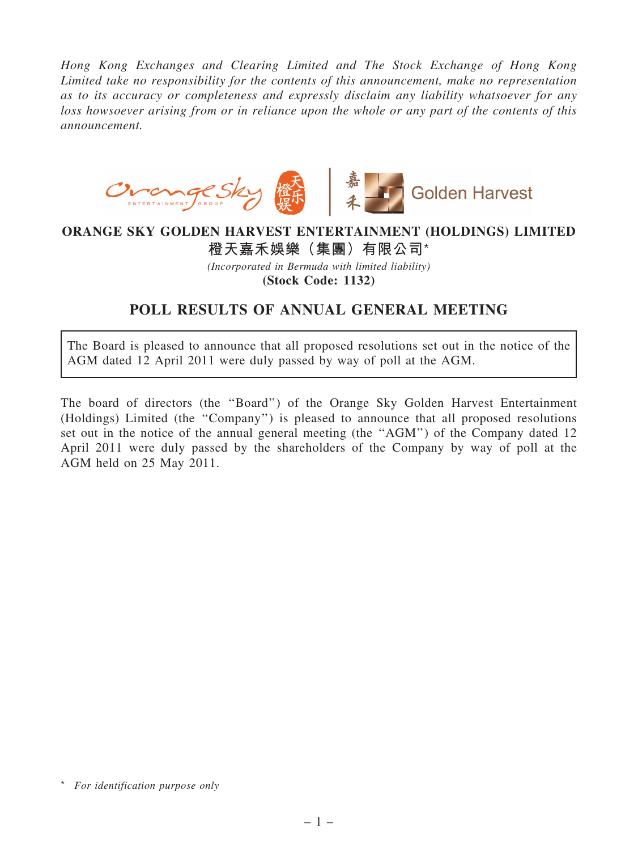*Hong Kong Exchanges and Clearing Limited and The Stock Exchange of Hong Kong Limited take no responsibility for the contents of this announcement, make no representation as to its accuracy or completeness and expressly disclaim any liability whatsoever for any loss howsoever arising from or in reliance upon the whole or any part of the contents of this announcement.*



## ORANGE SKY GOLDEN HARVEST ENTERTAINMENT (HOLDINGS) LIMITED

## 橙天嘉禾娛樂(集團)有限公司\*

*(Incorporated in Bermuda with limited liability)*

(Stock Code: 1132)

## POLL RESULTS OF ANNUAL GENERAL MEETING

The Board is pleased to announce that all proposed resolutions set out in the notice of the AGM dated 12 April 2011 were duly passed by way of poll at the AGM.

The board of directors (the ''Board'') of the Orange Sky Golden Harvest Entertainment (Holdings) Limited (the ''Company'') is pleased to announce that all proposed resolutions set out in the notice of the annual general meeting (the "AGM") of the Company dated 12 April 2011 were duly passed by the shareholders of the Company by way of poll at the AGM held on 25 May 2011.

<sup>\*</sup> *For identification purpose only*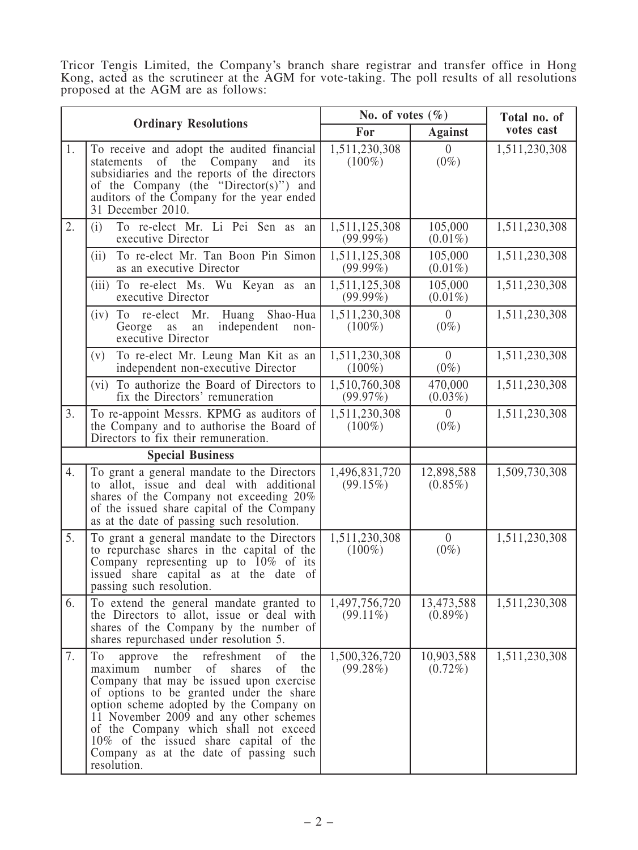Tricor Tengis Limited, the Company's branch share registrar and transfer office in Hong Kong, acted as the scrutineer at the AGM for vote-taking. The poll results of all resolutions proposed at the AGM are as follows:

| <b>Ordinary Resolutions</b> |                                                                                                                                                                                                                                                                                                                                                                                                                                        | No. of votes $(\% )$         |                           | Total no. of  |
|-----------------------------|----------------------------------------------------------------------------------------------------------------------------------------------------------------------------------------------------------------------------------------------------------------------------------------------------------------------------------------------------------------------------------------------------------------------------------------|------------------------------|---------------------------|---------------|
|                             |                                                                                                                                                                                                                                                                                                                                                                                                                                        | For                          | <b>Against</b>            | votes cast    |
| 1.                          | To receive and adopt the audited financial<br>of the Company<br>statements<br>and<br>its<br>subsidiaries and the reports of the directors<br>of the Company (the "Director(s)") and<br>auditors of the Company for the year ended<br>31 December 2010.                                                                                                                                                                                 | 1,511,230,308<br>$(100\%)$   | $\theta$<br>$(0\%)$       | 1,511,230,308 |
| 2.                          | To re-elect Mr. Li Pei Sen as<br>(i)<br>an<br>executive Director                                                                                                                                                                                                                                                                                                                                                                       | 1,511,125,308<br>$(99.99\%)$ | 105,000<br>$(0.01\%)$     | 1,511,230,308 |
|                             | To re-elect Mr. Tan Boon Pin Simon<br>(ii)<br>as an executive Director                                                                                                                                                                                                                                                                                                                                                                 | 1,511,125,308<br>$(99.99\%)$ | 105,000<br>$(0.01\%)$     | 1,511,230,308 |
|                             | (iii) To re-elect Ms. Wu Keyan as an<br>executive Director                                                                                                                                                                                                                                                                                                                                                                             | 1,511,125,308<br>$(99.99\%)$ | 105,000<br>$(0.01\%)$     | 1,511,230,308 |
|                             | $(iv)$ To re-elect<br>Mr.<br>Huang Shao-Hua<br>George<br>independent<br>as<br>non-<br>an<br>executive Director                                                                                                                                                                                                                                                                                                                         | 1,511,230,308<br>$(100\%)$   | $\overline{0}$<br>$(0\%)$ | 1,511,230,308 |
|                             | To re-elect Mr. Leung Man Kit as an<br>(v)<br>independent non-executive Director                                                                                                                                                                                                                                                                                                                                                       | 1,511,230,308<br>$(100\%)$   | $\overline{0}$<br>$(0\%)$ | 1,511,230,308 |
|                             | (vi) To authorize the Board of Directors to<br>fix the Directors' remuneration                                                                                                                                                                                                                                                                                                                                                         | 1,510,760,308<br>(99.97%)    | 470,000<br>$(0.03\%)$     | 1,511,230,308 |
| 3.                          | To re-appoint Messrs. KPMG as auditors of<br>the Company and to authorise the Board of<br>Directors to fix their remuneration.                                                                                                                                                                                                                                                                                                         | 1,511,230,308<br>$(100\%)$   | $\overline{0}$<br>$(0\%)$ | 1,511,230,308 |
| <b>Special Business</b>     |                                                                                                                                                                                                                                                                                                                                                                                                                                        |                              |                           |               |
| 4.                          | To grant a general mandate to the Directors<br>to allot, issue and deal with additional<br>shares of the Company not exceeding 20%<br>of the issued share capital of the Company<br>as at the date of passing such resolution.                                                                                                                                                                                                         | 1,496,831,720<br>(99.15%)    | 12,898,588<br>$(0.85\%)$  | 1,509,730,308 |
| 5.                          | To grant a general mandate to the Directors<br>to repurchase shares in the capital of the<br>Company representing up to $10\%$ of its<br>issued share capital as at the date of<br>passing such resolution.                                                                                                                                                                                                                            | 1,511,230,308<br>$(100\%)$   | $\overline{0}$<br>$(0\%)$ | 1,511,230,308 |
| 6.                          | To extend the general mandate granted to<br>the Directors to allot, issue or deal with<br>shares of the Company by the number of<br>shares repurchased under resolution 5.                                                                                                                                                                                                                                                             | 1,497,756,720<br>$(99.11\%)$ | 13,473,588<br>$(0.89\%)$  | 1,511,230,308 |
| 7.                          | To<br>refreshment<br><sub>of</sub><br>the<br>the<br>approve<br>of<br>of<br>number<br>shares<br>the<br>maximum<br>Company that may be issued upon exercise<br>of options to be granted under the share<br>option scheme adopted by the Company on<br>11 November 2009 and any other schemes<br>of the Company which shall not exceed<br>10% of the issued share capital of the<br>Company as at the date of passing such<br>resolution. | 1,500,326,720<br>(99.28%)    | 10,903,588<br>$(0.72\%)$  | 1,511,230,308 |